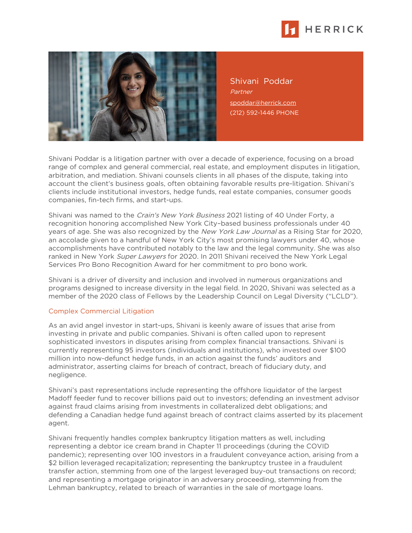



Shivani Poddar **Partner** [spoddar@herrick.com](mailto:spoddar@herrick.com) (212) 592-1446 PHONE

Shivani Poddar is a litigation partner with over a decade of experience, focusing on a broad range of complex and general commercial, real estate, and employment disputes in litigation, arbitration, and mediation. Shivani counsels clients in all phases of the dispute, taking into account the client's business goals, often obtaining favorable results pre-litigation. Shivani's clients include institutional investors, hedge funds, real estate companies, consumer goods companies, fin-tech firms, and start-ups.

Shivani was named to the *Crain's New York Business* 2021 listing of 40 Under Forty, a recognition honoring accomplished New York City–based business professionals under 40 years of age. She was also recognized by the New York Law Journal as a Rising Star for 2020, an accolade given to a handful of New York City's most promising lawyers under 40, whose accomplishments have contributed notably to the law and the legal community. She was also ranked in New York Super Lawyers for 2020. In 2011 Shivani received the New York Legal Services Pro Bono Recognition Award for her commitment to pro bono work.

Shivani is a driver of diversity and inclusion and involved in numerous organizations and programs designed to increase diversity in the legal field. In 2020, Shivani was selected as a member of the 2020 class of Fellows by the Leadership Council on Legal Diversity ("LCLD").

## Complex Commercial Litigation

As an avid angel investor in start-ups, Shivani is keenly aware of issues that arise from investing in private and public companies. Shivani is often called upon to represent sophisticated investors in disputes arising from complex financial transactions. Shivani is currently representing 95 investors (individuals and institutions), who invested over \$100 million into now-defunct hedge funds, in an action against the funds' auditors and administrator, asserting claims for breach of contract, breach of fiduciary duty, and negligence.

Shivani's past representations include representing the offshore liquidator of the largest Madoff feeder fund to recover billions paid out to investors; defending an investment advisor against fraud claims arising from investments in collateralized debt obligations; and defending a Canadian hedge fund against breach of contract claims asserted by its placement agent.

Shivani frequently handles complex bankruptcy litigation matters as well, including representing a debtor ice cream brand in Chapter 11 proceedings (during the COVID pandemic); representing over 100 investors in a fraudulent conveyance action, arising from a \$2 billion leveraged recapitalization; representing the bankruptcy trustee in a fraudulent transfer action, stemming from one of the largest leveraged buy-out transactions on record; and representing a mortgage originator in an adversary proceeding, stemming from the Lehman bankruptcy, related to breach of warranties in the sale of mortgage loans.